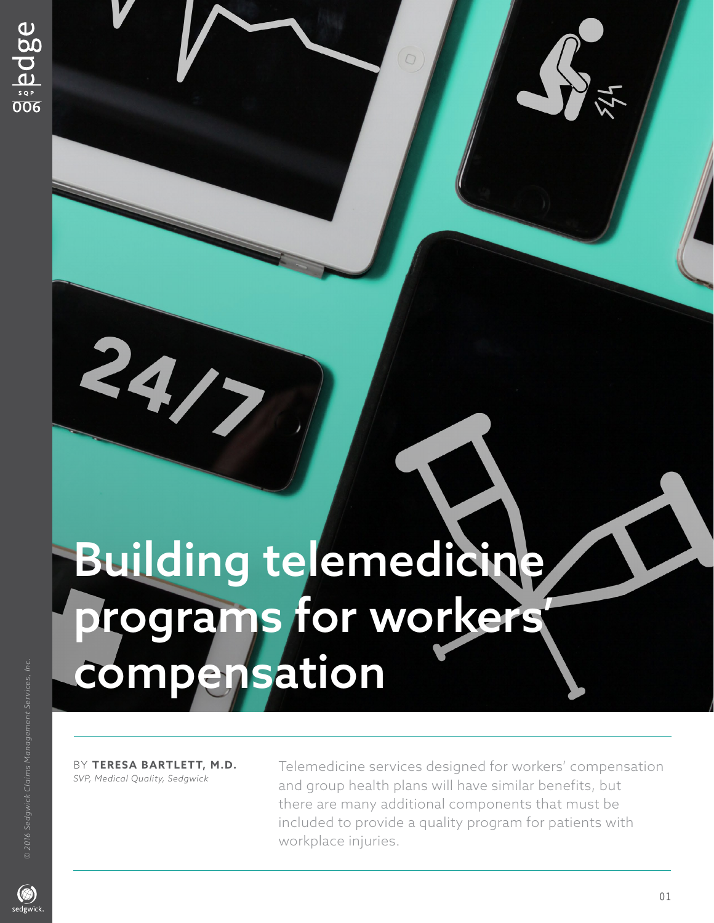## Building telemedicine programs for workers' compensation

BY TERESA BARTLETT, M.D. <sup>Telemedicine services designed for workers' compensation SVP, Medical Quality, Sedawick</sup> and group health plans will have similar benefits, but there are many additional components that must be included to provide a quality program for patients with workplace injuries.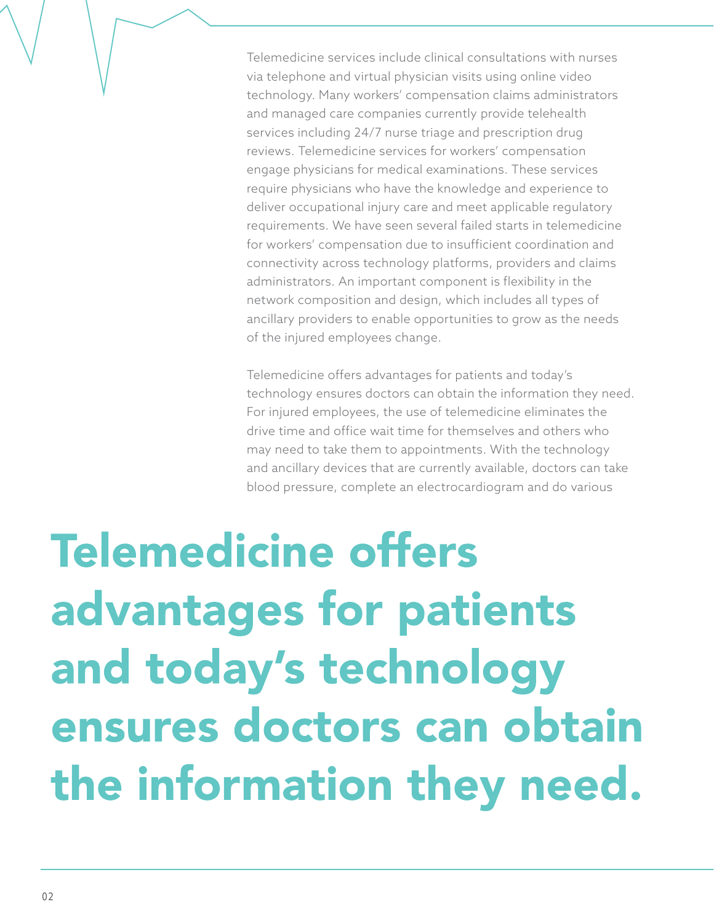Telemedicine services include clinical consultations with nurses via telephone and virtual physician visits using online video technology. Many workers' compensation claims administrators and managed care companies currently provide telehealth services including 24/7 nurse triage and prescription drug reviews. Telemedicine services for workers' compensation engage physicians for medical examinations. These services require physicians who have the knowledge and experience to deliver occupational injury care and meet applicable regulatory requirements. We have seen several failed starts in telemedicine for workers' compensation due to insufficient coordination and connectivity across technology platforms, providers and claims administrators. An important component is flexibility in the network composition and design, which includes all types of ancillary providers to enable opportunities to grow as the needs of the injured employees change.

Telemedicine offers advantages for patients and today's technology ensures doctors can obtain the information they need. For injured employees, the use of telemedicine eliminates the drive time and office wait time for themselves and others who may need to take them to appointments. With the technology and ancillary devices that are currently available, doctors can take blood pressure, complete an electrocardiogram and do various

## **Telemedicine offers** advantages for patients and today's technology ensures doctors can obtain the information they need.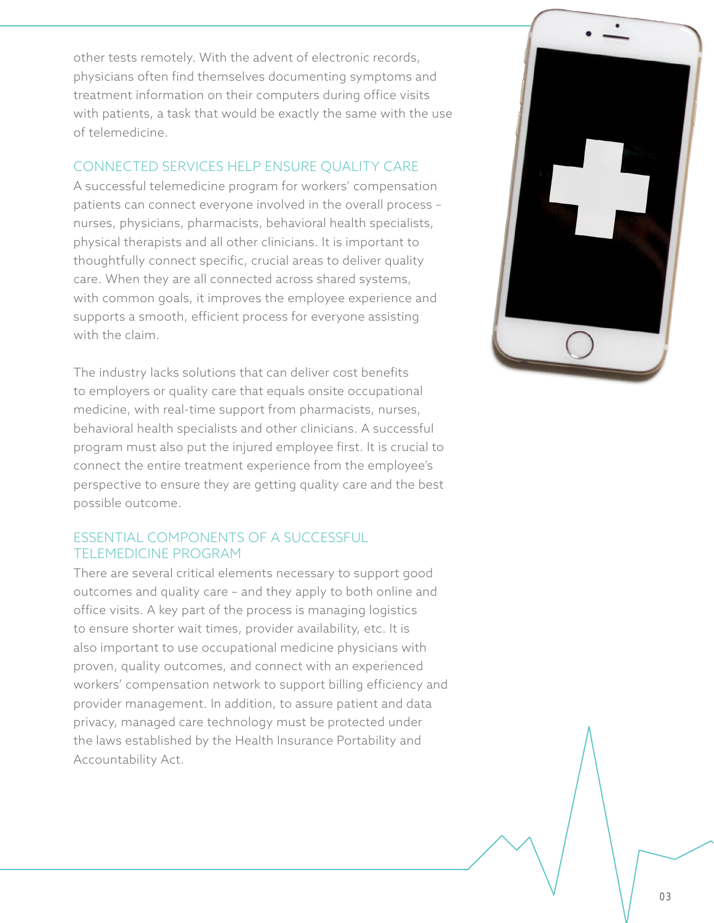other tests remotely. With the advent of electronic records, physicians often find themselves documenting symptoms and treatment information on their computers during office visits with patients, a task that would be exactly the same with the use of telemedicine.

## CONNECTED SERVICES HELP ENSURE QUALITY CARE

A successful telemedicine program for workers' compensation patients can connect everyone involved in the overall process – nurses, physicians, pharmacists, behavioral health specialists, physical therapists and all other clinicians. It is important to thoughtfully connect specific, crucial areas to deliver quality care. When they are all connected across shared systems, with common goals, it improves the employee experience and supports a smooth, efficient process for everyone assisting with the claim.

The industry lacks solutions that can deliver cost benefits to employers or quality care that equals onsite occupational medicine, with real-time support from pharmacists, nurses, behavioral health specialists and other clinicians. A successful program must also put the injured employee first. It is crucial to connect the entire treatment experience from the employee's perspective to ensure they are getting quality care and the best possible outcome.

## ESSENTIAL COMPONENTS OF A SUCCESSFUL TELEMEDICINE PROGRAM

There are several critical elements necessary to support good outcomes and quality care – and they apply to both online and office visits. A key part of the process is managing logistics to ensure shorter wait times, provider availability, etc. It is also important to use occupational medicine physicians with proven, quality outcomes, and connect with an experienced workers' compensation network to support billing efficiency and provider management. In addition, to assure patient and data privacy, managed care technology must be protected under the laws established by the Health Insurance Portability and Accountability Act.